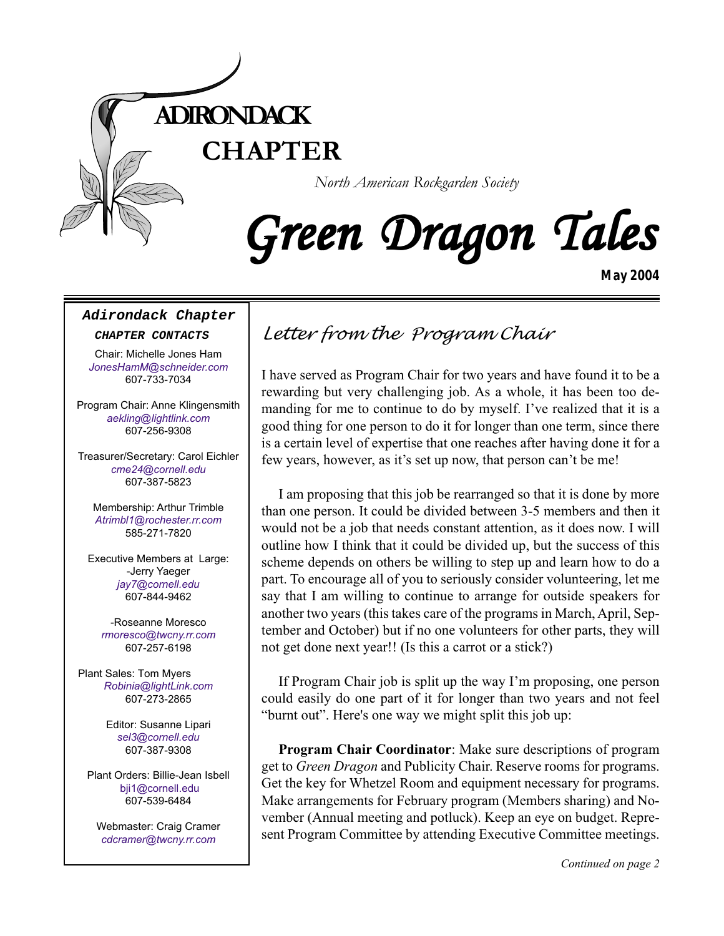

# Green Dragon Tales

*May 2004*

#### **Adirondack Chapter**

#### **CHAPTER CONTACTS**

Chair: Michelle Jones Ham *[JonesHamM@schneider.com](Mailto:JonesHamM@schneider.com)* 607-733-7034

Program Chair: Anne Klingensmith *[aekling@lightlink.com](mailto:aekling@lightlink.com)* 607-256-9308

Treasurer/Secretary: Carol Eichler *[cme24@cornell.edu](mailto:cme24@cornell.ed)* 607-387-5823

Membership: Arthur Trimble *[Atrimbl1@rochester.rr.com](mailto:Atrimbl1@rochester.rr.com)* 585-271-7820

Executive Members at Large: -Jerry Yaeger *[jay7@cornell.edu](mailto:jay7@cornell.edu)* 607-844-9462

-Roseanne Moresco *[rmoresco@twcny.rr.com](mailto:rmoresco@twcny.rr.com)* 607-257-6198

Plant Sales: Tom Myers *[Robinia@lightLink.com](mailto:Robinia@lightLink.com)* 607-273-2865

> Editor: Susanne Lipari *[sel3@cornell.edu](mailto:sel3@cornell.edu)* 607-387-9308

Plant Orders: Billie-Jean Isbell [bji1@cornell.edu](mailto: bji1@cornell.edu|) 607-539-6484

Webmaster: Craig Cramer *cdcramer@twcny.rr.com*

## *Letter from the Program Chair*

I have served as Program Chair for two years and have found it to be a rewarding but very challenging job. As a whole, it has been too demanding for me to continue to do by myself. I've realized that it is a good thing for one person to do it for longer than one term, since there is a certain level of expertise that one reaches after having done it for a few years, however, as it's set up now, that person can't be me!

I am proposing that this job be rearranged so that it is done by more than one person. It could be divided between 3-5 members and then it would not be a job that needs constant attention, as it does now. I will outline how I think that it could be divided up, but the success of this scheme depends on others be willing to step up and learn how to do a part. To encourage all of you to seriously consider volunteering, let me say that I am willing to continue to arrange for outside speakers for another two years (this takes care of the programs in March, April, September and October) but if no one volunteers for other parts, they will not get done next year!! (Is this a carrot or a stick?)

If Program Chair job is split up the way I'm proposing, one person could easily do one part of it for longer than two years and not feel "burnt out". Here's one way we might split this job up:

sent Program Committee by attending Executive Committee meetings. **Program Chair Coordinator**: Make sure descriptions of program get to *Green Dragon* and Publicity Chair. Reserve rooms for programs. Get the key for Whetzel Room and equipment necessary for programs. Make arrangements for February program (Members sharing) and November (Annual meeting and potluck). Keep an eye on budget. Repre-

*Continued on page 2*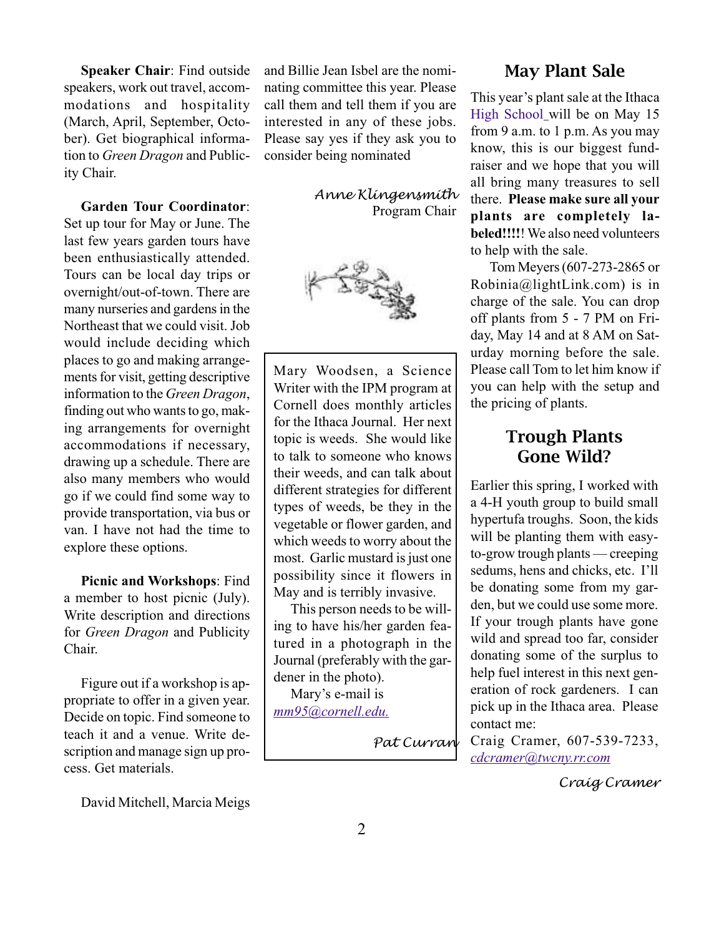**Speaker Chair**: Find outside speakers, work out travel, accommodations and hospitality (March, April, September, October). Get biographical information to *Green Dragon* and Publicity Chair.

#### **Garden Tour Coordinator**:

Set up tour for May or June. The last few years garden tours have been enthusiastically attended. Tours can be local day trips or overnight/out-of-town. There are many nurseries and gardens in the Northeast that we could visit. Job would include deciding which places to go and making arrangements for visit, getting descriptive information to the *Green Dragon*, finding out who wants to go, making arrangements for overnight accommodations if necessary, drawing up a schedule. There are also many members who would go if we could find some way to provide transportation, via bus or van. I have not had the time to explore these options.

**Picnic and Workshops**: Find a member to host picnic (July). Write description and directions for *Green Dragon* and Publicity Chair.

Figure out if a workshop is appropriate to offer in a given year. Decide on topic. Find someone to teach it and a venue. Write description and manage sign up process. Get materials.

David Mitchell, Marcia Meigs

and Billie Jean Isbel are the nominating committee this year. Please call them and tell them if you are interested in any of these jobs. Please say yes if they ask you to consider being nominated

> *Anne Klingensmith* Program Chair



Mary Woodsen, a Science Writer with the IPM program at Cornell does monthly articles for the Ithaca Journal. Her next topic is weeds. She would like to talk to someone who knows their weeds, and can talk about different strategies for different types of weeds, be they in the vegetable or flower garden, and which weeds to worry about the most. Garlic mustard is just one possibility since it flowers in May and is terribly invasive.

This person needs to be willing to have his/her garden featured in a photograph in the Journal (preferably with the gardener in the photo).

Mary's e-mail is *[mm95@cornell.edu.](mailto:mm95@cornell.edu.)*

*Pat Curran*

#### May Plant Sale

This year's plant sale at the Ithaca [High School](http://yp.mapquest.com/main.adp?_dircat=821103S&_dirskip=0&_dirsview=distance&_dlc=32&_dis=0&_dgid=0%2c107639530&_dgskip=0%2c2&_diraction=map&_dircid=107639530&_diradid=0&_dircity=Ithaca&_dirstate=NY&_dirlat=424406&_dirlong=%2d764969&_dirzip=&_dby=&_dirnamesearch=&_diraddress=&_dirdma=67&_dirpid=) will be on May 15 from 9 a.m. to 1 p.m. As you may know, this is our biggest fundraiser and we hope that you will all bring many treasures to sell there. **Please make sure all your plants are completely labeled!!!!**! We also need volunteers to help with the sale.

 Tom Meyers (607-273-2865 or Robinia@lightLink.com) is in charge of the sale. You can drop off plants from 5 - 7 PM on Friday, May 14 and at 8 AM on Saturday morning before the sale. Please call Tom to let him know if you can help with the setup and the pricing of plants.

#### Trough Plants Gone Wild?

Earlier this spring, I worked with a 4-H youth group to build small hypertufa troughs. Soon, the kids will be planting them with easyto-grow trough plants — creeping sedums, hens and chicks, etc. I'll be donating some from my garden, but we could use some more. If your trough plants have gone wild and spread too far, consider donating some of the surplus to help fuel interest in this next generation of rock gardeners. I can pick up in the Ithaca area. Please contact me:

Craig Cramer, 607-539-7233, *[cdcramer@twcny.rr.com](mailto:cdcramer@twcny.rr.com)*

*Craig Cramer*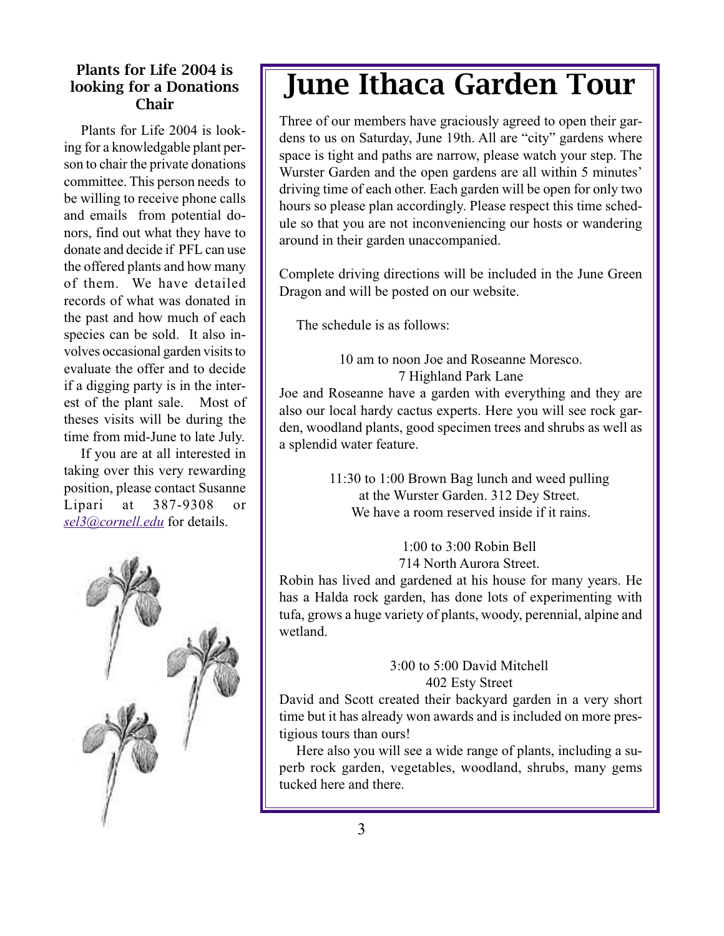#### Plants for Life 2004 is looking for a Donations Chair

Plants for Life 2004 is looking for a knowledgable plant person to chair the private donations committee. This person needs to be willing to receive phone calls and emails from potential donors, find out what they have to donate and decide if PFL can use the offered plants and how many of them. We have detailed records of what was donated in the past and how much of each species can be sold. It also involves occasional garden visits to evaluate the offer and to decide if a digging party is in the interest of the plant sale. Most of theses visits will be during the time from mid-June to late July.

If you are at all interested in taking over this very rewarding position, please contact Susanne Lipari at 387-9308 or *[sel3@cornell.edu](mailto:sel3@cornell.edu)* for details.



# June Ithaca Garden Tour

Three of our members have graciously agreed to open their gardens to us on Saturday, June 19th. All are "city" gardens where space is tight and paths are narrow, please watch your step. The Wurster Garden and the open gardens are all within 5 minutes' driving time of each other. Each garden will be open for only two hours so please plan accordingly. Please respect this time schedule so that you are not inconveniencing our hosts or wandering around in their garden unaccompanied.

Complete driving directions will be included in the June Green Dragon and will be posted on our website.

The schedule is as follows:

#### 10 am to noon Joe and Roseanne Moresco. 7 Highland Park Lane

Joe and Roseanne have a garden with everything and they are also our local hardy cactus experts. Here you will see rock garden, woodland plants, good specimen trees and shrubs as well as a splendid water feature.

> 11:30 to 1:00 Brown Bag lunch and weed pulling at the Wurster Garden. 312 Dey Street. We have a room reserved inside if it rains.

> > 1:00 to 3:00 Robin Bell 714 North Aurora Street.

Robin has lived and gardened at his house for many years. He has a Halda rock garden, has done lots of experimenting with tufa, grows a huge variety of plants, woody, perennial, alpine and wetland.

#### 3:00 to 5:00 David Mitchell 402 Esty Street

David and Scott created their backyard garden in a very short time but it has already won awards and is included on more prestigious tours than ours!

Here also you will see a wide range of plants, including a superb rock garden, vegetables, woodland, shrubs, many gems tucked here and there.